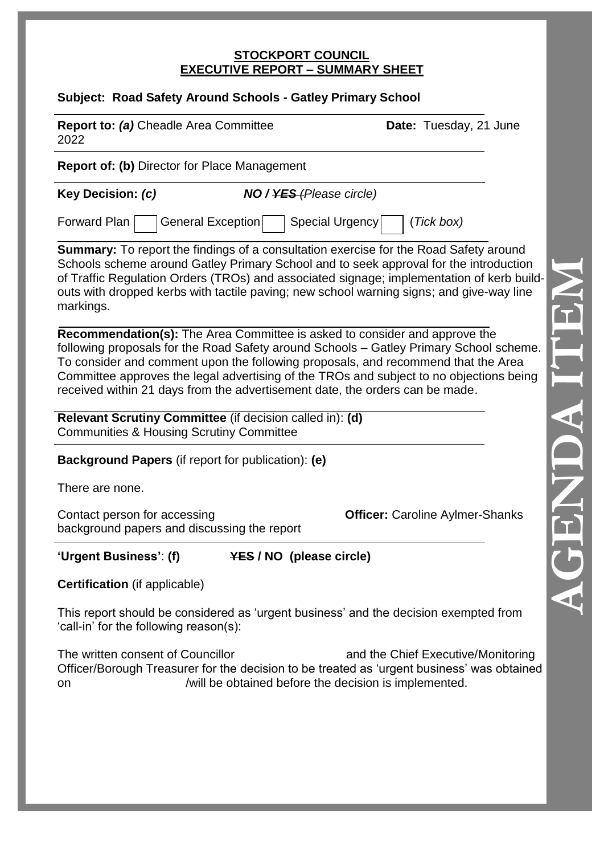#### **STOCKPORT COUNCIL EXECUTIVE REPORT – SUMMARY SHEET**

# **Subject: Road Safety Around Schools - Gatley Primary School**

| <u> Japico, noad Jalety Alband Johools - Jaliey Filmary Johool</u>                                                                                                                                                                                                                                                                                                                                                                   |                                 |                                        |
|--------------------------------------------------------------------------------------------------------------------------------------------------------------------------------------------------------------------------------------------------------------------------------------------------------------------------------------------------------------------------------------------------------------------------------------|---------------------------------|----------------------------------------|
| Report to: (a) Cheadle Area Committee<br>2022                                                                                                                                                                                                                                                                                                                                                                                        |                                 | Date: Tuesday, 21 June                 |
| <b>Report of: (b)</b> Director for Place Management                                                                                                                                                                                                                                                                                                                                                                                  |                                 |                                        |
| Key Decision: (c)                                                                                                                                                                                                                                                                                                                                                                                                                    | <b>NO</b> / YES (Please circle) |                                        |
| Forward Plan<br>General Exception                                                                                                                                                                                                                                                                                                                                                                                                    | Special Urgency                 | (Tick box)                             |
| <b>Summary:</b> To report the findings of a consultation exercise for the Road Safety around<br>Schools scheme around Gatley Primary School and to seek approval for the introduction<br>of Traffic Regulation Orders (TROs) and associated signage; implementation of kerb build-<br>outs with dropped kerbs with tactile paving; new school warning signs; and give-way line<br>markings.                                          |                                 |                                        |
| Recommendation(s): The Area Committee is asked to consider and approve the<br>following proposals for the Road Safety around Schools - Gatley Primary School scheme.<br>To consider and comment upon the following proposals, and recommend that the Area<br>Committee approves the legal advertising of the TROs and subject to no objections being<br>received within 21 days from the advertisement date, the orders can be made. |                                 |                                        |
| Relevant Scrutiny Committee (if decision called in): (d)<br><b>Communities &amp; Housing Scrutiny Committee</b>                                                                                                                                                                                                                                                                                                                      |                                 |                                        |
| <b>Background Papers</b> (if report for publication): (e)                                                                                                                                                                                                                                                                                                                                                                            |                                 |                                        |
| There are none.                                                                                                                                                                                                                                                                                                                                                                                                                      |                                 |                                        |
| Contact person for accessing<br>background papers and discussing the report                                                                                                                                                                                                                                                                                                                                                          |                                 | <b>Officer: Caroline Aylmer-Shanks</b> |
| 'Urgent Business': (f)                                                                                                                                                                                                                                                                                                                                                                                                               | <b>YES / NO (please circle)</b> |                                        |
| <b>Certification</b> (if applicable)                                                                                                                                                                                                                                                                                                                                                                                                 |                                 |                                        |

This report should be considered as 'urgent business' and the decision exempted from 'call-in' for the following reason(s):

The written consent of Councillor and the Chief Executive/Monitoring Officer/Borough Treasurer for the decision to be treated as 'urgent business' was obtained on /will be obtained before the decision is implemented.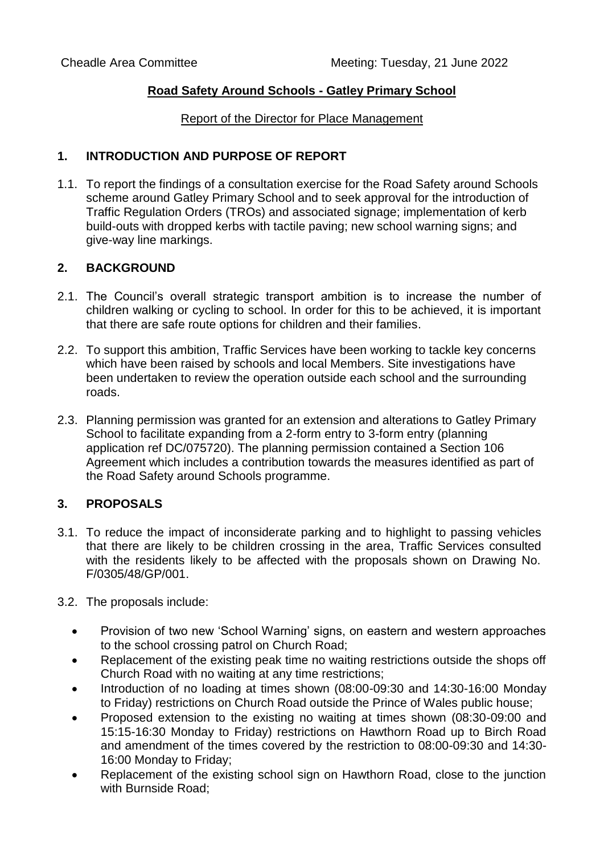## **Road Safety Around Schools - Gatley Primary School**

### Report of the Director for Place Management

## **1. INTRODUCTION AND PURPOSE OF REPORT**

1.1. To report the findings of a consultation exercise for the Road Safety around Schools scheme around Gatley Primary School and to seek approval for the introduction of Traffic Regulation Orders (TROs) and associated signage; implementation of kerb build-outs with dropped kerbs with tactile paving; new school warning signs; and give-way line markings.

## **2. BACKGROUND**

- 2.1. The Council's overall strategic transport ambition is to increase the number of children walking or cycling to school. In order for this to be achieved, it is important that there are safe route options for children and their families.
- 2.2. To support this ambition, Traffic Services have been working to tackle key concerns which have been raised by schools and local Members. Site investigations have been undertaken to review the operation outside each school and the surrounding roads.
- 2.3. Planning permission was granted for an extension and alterations to Gatley Primary School to facilitate expanding from a 2-form entry to 3-form entry (planning application ref DC/075720). The planning permission contained a Section 106 Agreement which includes a contribution towards the measures identified as part of the Road Safety around Schools programme.

# **3. PROPOSALS**

- 3.1. To reduce the impact of inconsiderate parking and to highlight to passing vehicles that there are likely to be children crossing in the area, Traffic Services consulted with the residents likely to be affected with the proposals shown on Drawing No. F/0305/48/GP/001.
- 3.2. The proposals include:
	- Provision of two new 'School Warning' signs, on eastern and western approaches to the school crossing patrol on Church Road;
	- Replacement of the existing peak time no waiting restrictions outside the shops off Church Road with no waiting at any time restrictions;
	- Introduction of no loading at times shown (08:00-09:30 and 14:30-16:00 Monday to Friday) restrictions on Church Road outside the Prince of Wales public house;
	- Proposed extension to the existing no waiting at times shown (08:30-09:00 and 15:15-16:30 Monday to Friday) restrictions on Hawthorn Road up to Birch Road and amendment of the times covered by the restriction to 08:00-09:30 and 14:30- 16:00 Monday to Friday;
	- Replacement of the existing school sign on Hawthorn Road, close to the junction with Burnside Road;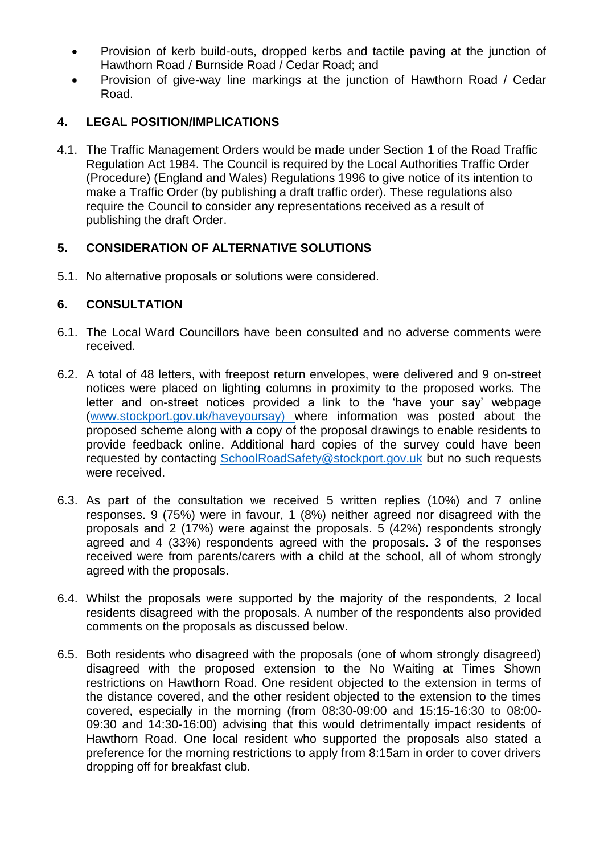- Provision of kerb build-outs, dropped kerbs and tactile paving at the junction of Hawthorn Road / Burnside Road / Cedar Road; and
- Provision of give-way line markings at the junction of Hawthorn Road / Cedar Road.

# **4. LEGAL POSITION/IMPLICATIONS**

4.1. The Traffic Management Orders would be made under Section 1 of the Road Traffic Regulation Act 1984. The Council is required by the Local Authorities Traffic Order (Procedure) (England and Wales) Regulations 1996 to give notice of its intention to make a Traffic Order (by publishing a draft traffic order). These regulations also require the Council to consider any representations received as a result of publishing the draft Order.

# **5. CONSIDERATION OF ALTERNATIVE SOLUTIONS**

5.1. No alternative proposals or solutions were considered.

# **6. CONSULTATION**

- 6.1. The Local Ward Councillors have been consulted and no adverse comments were received.
- 6.2. A total of 48 letters, with freepost return envelopes, were delivered and 9 on-street notices were placed on lighting columns in proximity to the proposed works. The letter and on-street notices provided a link to the 'have your say' webpage [\(www.stockport.gov.uk/haveyoursay\)](http://www.stockport.gov.uk/haveyoursay) where information was posted about the proposed scheme along with a copy of the proposal drawings to enable residents to provide feedback online. Additional hard copies of the survey could have been requested by contacting [SchoolRoadSafety@stockport.gov.uk](mailto:SchoolRoadSafety@stockport.gov.uk) but no such requests were received.
- 6.3. As part of the consultation we received 5 written replies (10%) and 7 online responses. 9 (75%) were in favour, 1 (8%) neither agreed nor disagreed with the proposals and 2 (17%) were against the proposals. 5 (42%) respondents strongly agreed and 4 (33%) respondents agreed with the proposals. 3 of the responses received were from parents/carers with a child at the school, all of whom strongly agreed with the proposals.
- 6.4. Whilst the proposals were supported by the majority of the respondents, 2 local residents disagreed with the proposals. A number of the respondents also provided comments on the proposals as discussed below.
- 6.5. Both residents who disagreed with the proposals (one of whom strongly disagreed) disagreed with the proposed extension to the No Waiting at Times Shown restrictions on Hawthorn Road. One resident objected to the extension in terms of the distance covered, and the other resident objected to the extension to the times covered, especially in the morning (from 08:30-09:00 and 15:15-16:30 to 08:00- 09:30 and 14:30-16:00) advising that this would detrimentally impact residents of Hawthorn Road. One local resident who supported the proposals also stated a preference for the morning restrictions to apply from 8:15am in order to cover drivers dropping off for breakfast club.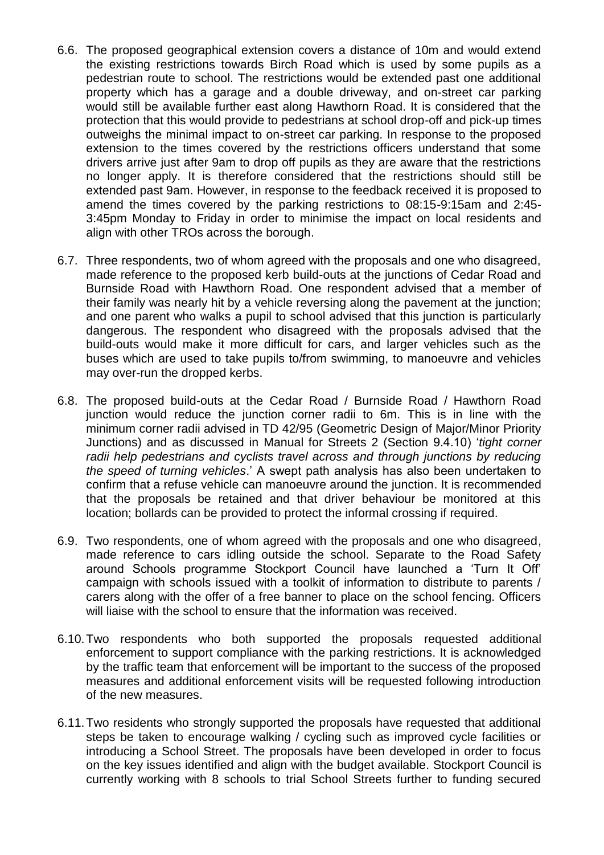- 6.6. The proposed geographical extension covers a distance of 10m and would extend the existing restrictions towards Birch Road which is used by some pupils as a pedestrian route to school. The restrictions would be extended past one additional property which has a garage and a double driveway, and on-street car parking would still be available further east along Hawthorn Road. It is considered that the protection that this would provide to pedestrians at school drop-off and pick-up times outweighs the minimal impact to on-street car parking. In response to the proposed extension to the times covered by the restrictions officers understand that some drivers arrive just after 9am to drop off pupils as they are aware that the restrictions no longer apply. It is therefore considered that the restrictions should still be extended past 9am. However, in response to the feedback received it is proposed to amend the times covered by the parking restrictions to 08:15-9:15am and 2:45- 3:45pm Monday to Friday in order to minimise the impact on local residents and align with other TROs across the borough.
- 6.7. Three respondents, two of whom agreed with the proposals and one who disagreed, made reference to the proposed kerb build-outs at the junctions of Cedar Road and Burnside Road with Hawthorn Road. One respondent advised that a member of their family was nearly hit by a vehicle reversing along the pavement at the junction; and one parent who walks a pupil to school advised that this junction is particularly dangerous. The respondent who disagreed with the proposals advised that the build-outs would make it more difficult for cars, and larger vehicles such as the buses which are used to take pupils to/from swimming, to manoeuvre and vehicles may over-run the dropped kerbs.
- 6.8. The proposed build-outs at the Cedar Road / Burnside Road / Hawthorn Road junction would reduce the junction corner radii to 6m. This is in line with the minimum corner radii advised in TD 42/95 (Geometric Design of Major/Minor Priority Junctions) and as discussed in Manual for Streets 2 (Section 9.4.10) '*tight corner*  radii help pedestrians and cyclists travel across and through junctions by reducing *the speed of turning vehicles*.' A swept path analysis has also been undertaken to confirm that a refuse vehicle can manoeuvre around the junction. It is recommended that the proposals be retained and that driver behaviour be monitored at this location; bollards can be provided to protect the informal crossing if required.
- 6.9. Two respondents, one of whom agreed with the proposals and one who disagreed, made reference to cars idling outside the school. Separate to the Road Safety around Schools programme Stockport Council have launched a 'Turn It Off' campaign with schools issued with a toolkit of information to distribute to parents / carers along with the offer of a free banner to place on the school fencing. Officers will liaise with the school to ensure that the information was received.
- 6.10.Two respondents who both supported the proposals requested additional enforcement to support compliance with the parking restrictions. It is acknowledged by the traffic team that enforcement will be important to the success of the proposed measures and additional enforcement visits will be requested following introduction of the new measures.
- 6.11.Two residents who strongly supported the proposals have requested that additional steps be taken to encourage walking / cycling such as improved cycle facilities or introducing a School Street. The proposals have been developed in order to focus on the key issues identified and align with the budget available. Stockport Council is currently working with 8 schools to trial School Streets further to funding secured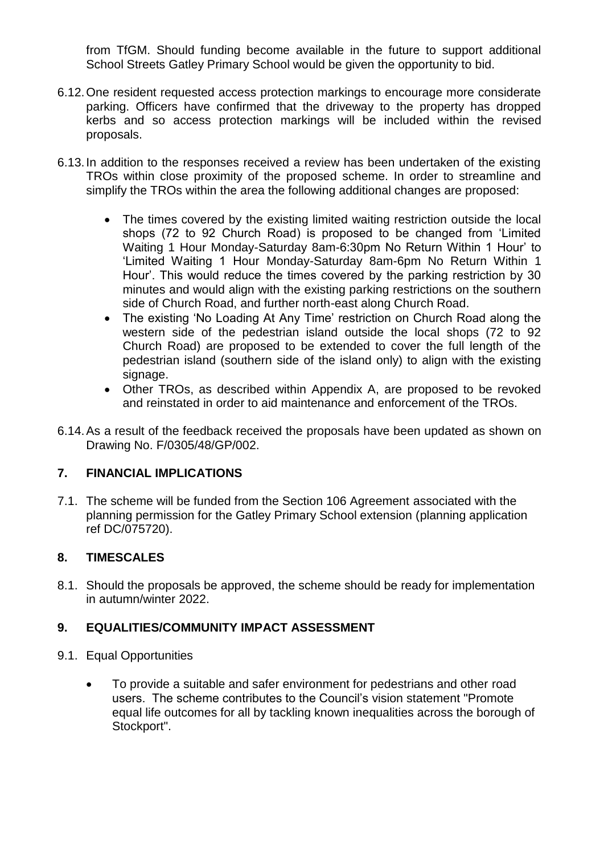from TfGM. Should funding become available in the future to support additional School Streets Gatley Primary School would be given the opportunity to bid.

- 6.12.One resident requested access protection markings to encourage more considerate parking. Officers have confirmed that the driveway to the property has dropped kerbs and so access protection markings will be included within the revised proposals.
- 6.13.In addition to the responses received a review has been undertaken of the existing TROs within close proximity of the proposed scheme. In order to streamline and simplify the TROs within the area the following additional changes are proposed:
	- The times covered by the existing limited waiting restriction outside the local shops (72 to 92 Church Road) is proposed to be changed from 'Limited Waiting 1 Hour Monday-Saturday 8am-6:30pm No Return Within 1 Hour' to 'Limited Waiting 1 Hour Monday-Saturday 8am-6pm No Return Within 1 Hour'. This would reduce the times covered by the parking restriction by 30 minutes and would align with the existing parking restrictions on the southern side of Church Road, and further north-east along Church Road.
	- The existing 'No Loading At Any Time' restriction on Church Road along the western side of the pedestrian island outside the local shops (72 to 92 Church Road) are proposed to be extended to cover the full length of the pedestrian island (southern side of the island only) to align with the existing signage.
	- Other TROs, as described within Appendix A, are proposed to be revoked and reinstated in order to aid maintenance and enforcement of the TROs.
- 6.14.As a result of the feedback received the proposals have been updated as shown on Drawing No. F/0305/48/GP/002.

# **7. FINANCIAL IMPLICATIONS**

7.1. The scheme will be funded from the Section 106 Agreement associated with the planning permission for the Gatley Primary School extension (planning application ref DC/075720).

# **8. TIMESCALES**

8.1. Should the proposals be approved, the scheme should be ready for implementation in autumn/winter 2022.

# **9. EQUALITIES/COMMUNITY IMPACT ASSESSMENT**

- 9.1. Equal Opportunities
	- To provide a suitable and safer environment for pedestrians and other road users. The scheme contributes to the Council's vision statement "Promote equal life outcomes for all by tackling known inequalities across the borough of Stockport".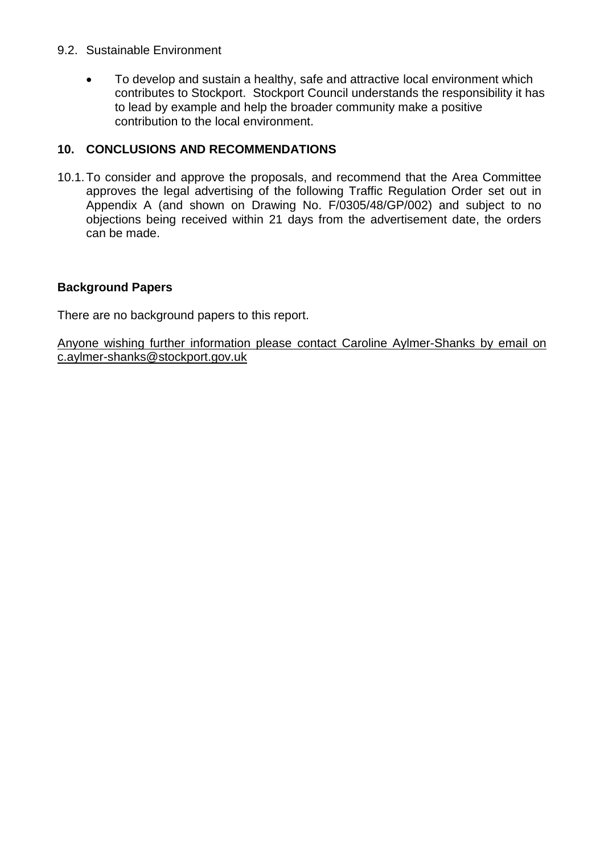#### 9.2. Sustainable Environment

• To develop and sustain a healthy, safe and attractive local environment which contributes to Stockport. Stockport Council understands the responsibility it has to lead by example and help the broader community make a positive contribution to the local environment.

## **10. CONCLUSIONS AND RECOMMENDATIONS**

10.1.To consider and approve the proposals, and recommend that the Area Committee approves the legal advertising of the following Traffic Regulation Order set out in Appendix A (and shown on Drawing No. F/0305/48/GP/002) and subject to no objections being received within 21 days from the advertisement date, the orders can be made.

## **Background Papers**

There are no background papers to this report.

Anyone wishing further information please contact Caroline Aylmer-Shanks by email on c.aylmer-shanks@stockport.gov.uk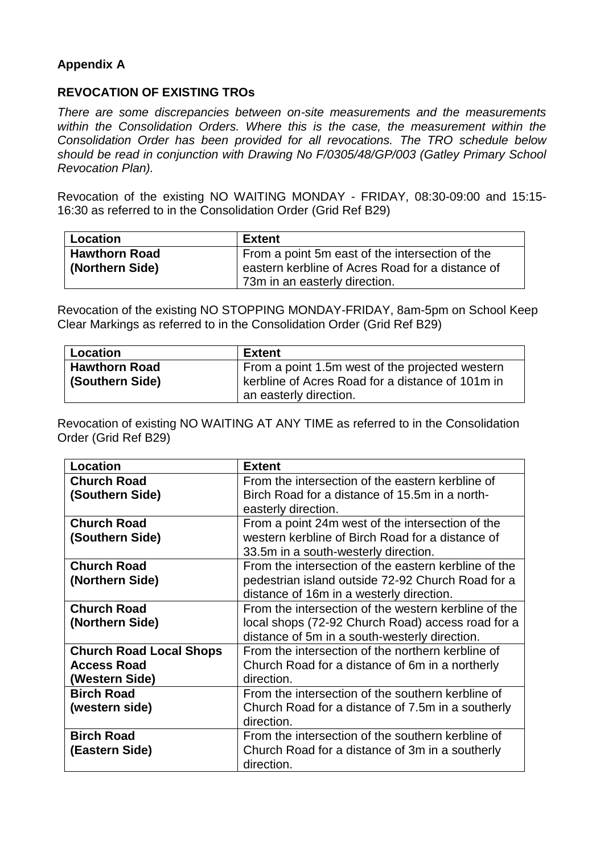# **Appendix A**

## **REVOCATION OF EXISTING TROs**

*There are some discrepancies between on-site measurements and the measurements within the Consolidation Orders. Where this is the case, the measurement within the Consolidation Order has been provided for all revocations. The TRO schedule below should be read in conjunction with Drawing No F/0305/48/GP/003 (Gatley Primary School Revocation Plan).*

Revocation of the existing NO WAITING MONDAY - FRIDAY, 08:30-09:00 and 15:15- 16:30 as referred to in the Consolidation Order (Grid Ref B29)

| Location             | Extent                                           |
|----------------------|--------------------------------------------------|
| <b>Hawthorn Road</b> | From a point 5m east of the intersection of the  |
| (Northern Side)      | eastern kerbline of Acres Road for a distance of |
|                      | 73m in an easterly direction.                    |

Revocation of the existing NO STOPPING MONDAY-FRIDAY, 8am-5pm on School Keep Clear Markings as referred to in the Consolidation Order (Grid Ref B29)

| <b>Location</b>      | <b>Extent</b>                                                                                       |
|----------------------|-----------------------------------------------------------------------------------------------------|
| <b>Hawthorn Road</b> | From a point 1.5m west of the projected western<br>kerbline of Acres Road for a distance of 101m in |
| (Southern Side)      | an easterly direction.                                                                              |

Revocation of existing NO WAITING AT ANY TIME as referred to in the Consolidation Order (Grid Ref B29)

| Location                       | <b>Extent</b>                                        |
|--------------------------------|------------------------------------------------------|
| <b>Church Road</b>             | From the intersection of the eastern kerbline of     |
| (Southern Side)                | Birch Road for a distance of 15.5m in a north-       |
|                                | easterly direction.                                  |
| <b>Church Road</b>             | From a point 24m west of the intersection of the     |
| (Southern Side)                | western kerbline of Birch Road for a distance of     |
|                                | 33.5m in a south-westerly direction.                 |
| <b>Church Road</b>             | From the intersection of the eastern kerbline of the |
| (Northern Side)                | pedestrian island outside 72-92 Church Road for a    |
|                                | distance of 16m in a westerly direction.             |
| <b>Church Road</b>             | From the intersection of the western kerbline of the |
| (Northern Side)                | local shops (72-92 Church Road) access road for a    |
|                                | distance of 5m in a south-westerly direction.        |
| <b>Church Road Local Shops</b> | From the intersection of the northern kerbline of    |
| <b>Access Road</b>             | Church Road for a distance of 6m in a northerly      |
| (Western Side)                 | direction.                                           |
| <b>Birch Road</b>              | From the intersection of the southern kerbline of    |
| (western side)                 | Church Road for a distance of 7.5m in a southerly    |
|                                | direction.                                           |
| <b>Birch Road</b>              | From the intersection of the southern kerbline of    |
| (Eastern Side)                 | Church Road for a distance of 3m in a southerly      |
|                                | direction.                                           |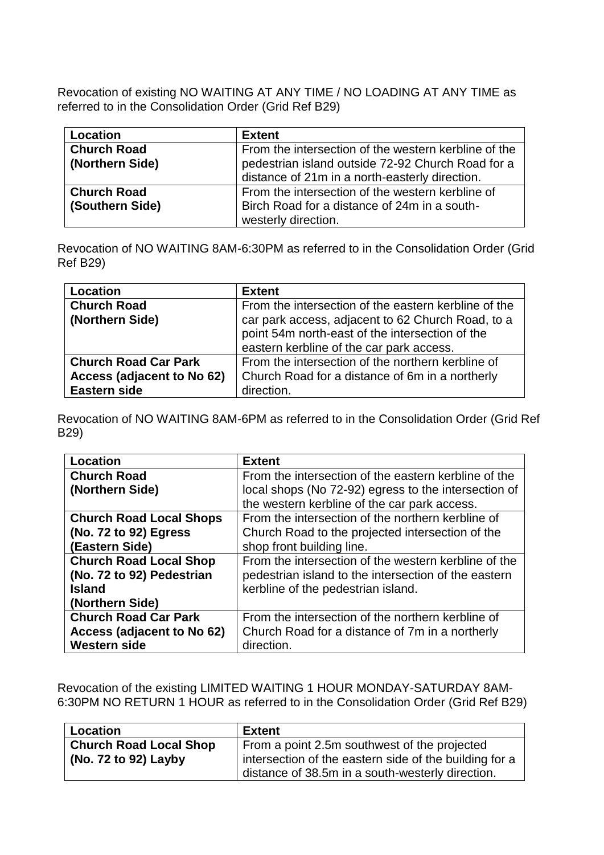Revocation of existing NO WAITING AT ANY TIME / NO LOADING AT ANY TIME as referred to in the Consolidation Order (Grid Ref B29)

| Location           | <b>Extent</b>                                        |
|--------------------|------------------------------------------------------|
| <b>Church Road</b> | From the intersection of the western kerbline of the |
| (Northern Side)    | pedestrian island outside 72-92 Church Road for a    |
|                    | distance of 21m in a north-easterly direction.       |
| <b>Church Road</b> | From the intersection of the western kerbline of     |
| (Southern Side)    | Birch Road for a distance of 24m in a south-         |
|                    | westerly direction.                                  |

Revocation of NO WAITING 8AM-6:30PM as referred to in the Consolidation Order (Grid Ref B29)

| Location                    | <b>Extent</b>                                        |
|-----------------------------|------------------------------------------------------|
| <b>Church Road</b>          | From the intersection of the eastern kerbline of the |
| (Northern Side)             | car park access, adjacent to 62 Church Road, to a    |
|                             | point 54m north-east of the intersection of the      |
|                             | eastern kerbline of the car park access.             |
| <b>Church Road Car Park</b> | From the intersection of the northern kerbline of    |
| Access (adjacent to No 62)  | Church Road for a distance of 6m in a northerly      |
| Eastern side                | direction.                                           |

Revocation of NO WAITING 8AM-6PM as referred to in the Consolidation Order (Grid Ref B29)

| <b>Location</b>                | <b>Extent</b>                                        |
|--------------------------------|------------------------------------------------------|
| <b>Church Road</b>             | From the intersection of the eastern kerbline of the |
| (Northern Side)                | local shops (No 72-92) egress to the intersection of |
|                                | the western kerbline of the car park access.         |
| <b>Church Road Local Shops</b> | From the intersection of the northern kerbline of    |
| (No. 72 to 92) Egress          | Church Road to the projected intersection of the     |
| (Eastern Side)                 | shop front building line.                            |
| <b>Church Road Local Shop</b>  | From the intersection of the western kerbline of the |
| (No. 72 to 92) Pedestrian      | pedestrian island to the intersection of the eastern |
| <b>Island</b>                  | kerbline of the pedestrian island.                   |
| (Northern Side)                |                                                      |
| <b>Church Road Car Park</b>    | From the intersection of the northern kerbline of    |
| Access (adjacent to No 62)     | Church Road for a distance of 7m in a northerly      |
| <b>Western side</b>            | direction.                                           |

Revocation of the existing LIMITED WAITING 1 HOUR MONDAY-SATURDAY 8AM-6:30PM NO RETURN 1 HOUR as referred to in the Consolidation Order (Grid Ref B29)

| Location                      | <b>Extent</b>                                          |
|-------------------------------|--------------------------------------------------------|
| <b>Church Road Local Shop</b> | From a point 2.5m southwest of the projected           |
| (No. 72 to 92) Layby          | intersection of the eastern side of the building for a |
|                               | distance of 38.5m in a south-westerly direction.       |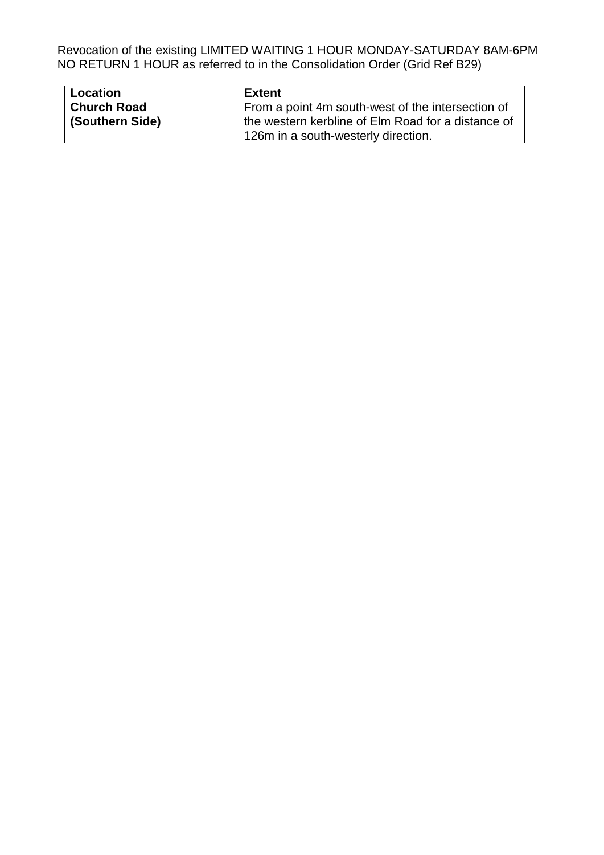Revocation of the existing LIMITED WAITING 1 HOUR MONDAY-SATURDAY 8AM-6PM NO RETURN 1 HOUR as referred to in the Consolidation Order (Grid Ref B29)

| <b>Location</b>    | <b>Extent</b>                                      |
|--------------------|----------------------------------------------------|
| <b>Church Road</b> | From a point 4m south-west of the intersection of  |
| (Southern Side)    | the western kerbline of Elm Road for a distance of |
|                    | 126m in a south-westerly direction.                |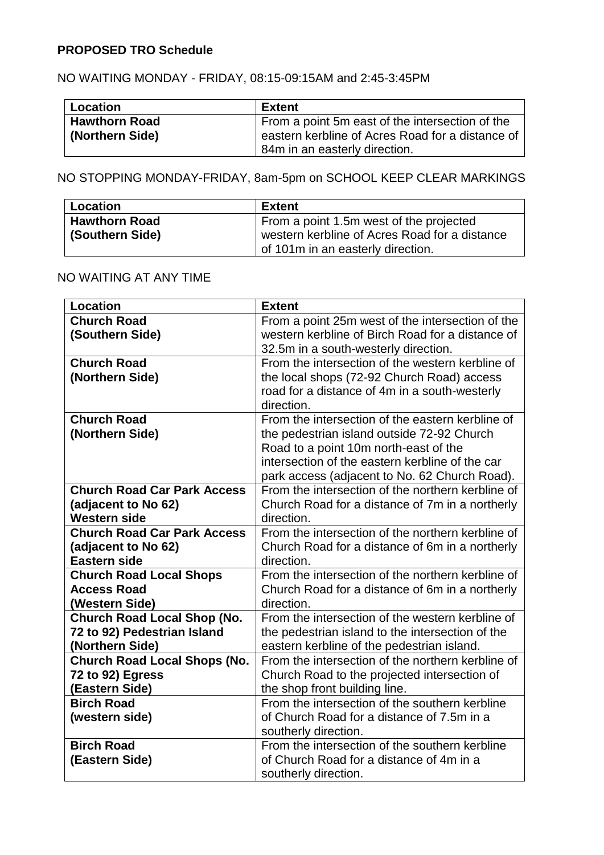## **PROPOSED TRO Schedule**

# NO WAITING MONDAY - FRIDAY, 08:15-09:15AM and 2:45-3:45PM

| Location             | Extent                                           |
|----------------------|--------------------------------------------------|
| <b>Hawthorn Road</b> | From a point 5m east of the intersection of the  |
| (Northern Side)      | eastern kerbline of Acres Road for a distance of |
|                      | 84m in an easterly direction.                    |

# NO STOPPING MONDAY-FRIDAY, 8am-5pm on SCHOOL KEEP CLEAR MARKINGS

| Location             | Extent                                        |
|----------------------|-----------------------------------------------|
| <b>Hawthorn Road</b> | From a point 1.5m west of the projected       |
| (Southern Side)      | western kerbline of Acres Road for a distance |
|                      | of 101m in an easterly direction.             |

## NO WAITING AT ANY TIME

| <b>Location</b>                                                                      | <b>Extent</b>                                                                                                                                                                                                                               |
|--------------------------------------------------------------------------------------|---------------------------------------------------------------------------------------------------------------------------------------------------------------------------------------------------------------------------------------------|
| <b>Church Road</b><br>(Southern Side)                                                | From a point 25m west of the intersection of the<br>western kerbline of Birch Road for a distance of<br>32.5m in a south-westerly direction.                                                                                                |
| <b>Church Road</b><br>(Northern Side)                                                | From the intersection of the western kerbline of<br>the local shops (72-92 Church Road) access<br>road for a distance of 4m in a south-westerly<br>direction.                                                                               |
| <b>Church Road</b><br>(Northern Side)                                                | From the intersection of the eastern kerbline of<br>the pedestrian island outside 72-92 Church<br>Road to a point 10m north-east of the<br>intersection of the eastern kerbline of the car<br>park access (adjacent to No. 62 Church Road). |
| <b>Church Road Car Park Access</b><br>(adjacent to No 62)<br><b>Western side</b>     | From the intersection of the northern kerbline of<br>Church Road for a distance of 7m in a northerly<br>direction.                                                                                                                          |
| <b>Church Road Car Park Access</b><br>(adjacent to No 62)<br><b>Eastern side</b>     | From the intersection of the northern kerbline of<br>Church Road for a distance of 6m in a northerly<br>direction.                                                                                                                          |
| <b>Church Road Local Shops</b><br><b>Access Road</b><br>(Western Side)               | From the intersection of the northern kerbline of<br>Church Road for a distance of 6m in a northerly<br>direction.                                                                                                                          |
| <b>Church Road Local Shop (No.</b><br>72 to 92) Pedestrian Island<br>(Northern Side) | From the intersection of the western kerbline of<br>the pedestrian island to the intersection of the<br>eastern kerbline of the pedestrian island.                                                                                          |
| <b>Church Road Local Shops (No.</b><br>72 to 92) Egress<br>(Eastern Side)            | From the intersection of the northern kerbline of<br>Church Road to the projected intersection of<br>the shop front building line.                                                                                                          |
| <b>Birch Road</b><br>(western side)                                                  | From the intersection of the southern kerbline<br>of Church Road for a distance of 7.5m in a<br>southerly direction.                                                                                                                        |
| <b>Birch Road</b><br>(Eastern Side)                                                  | From the intersection of the southern kerbline<br>of Church Road for a distance of 4m in a<br>southerly direction.                                                                                                                          |